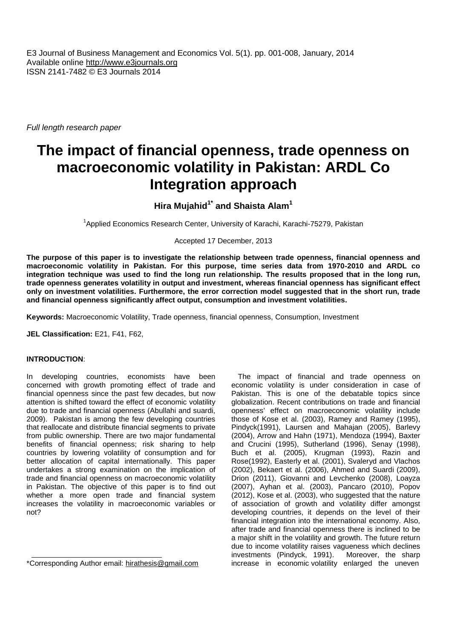E3 Journal of Business Management and Economics Vol. 5(1). pp. 001-008, January, 2014 Available online http://www.e3journals.org ISSN 2141-7482 © E3 Journals 2014

*Full length research paper*

# **The impact of financial openness, trade openness on macroeconomic volatility in Pakistan: ARDL Co Integration approach**

# **Hira Mujahid1\* and Shaista Alam<sup>1</sup>**

<sup>1</sup>Applied Economics Research Center, University of Karachi, Karachi-75279, Pakistan

Accepted 17 December, 2013

**The purpose of this paper is to investigate the relationship between trade openness, financial openness and macroeconomic volatility in Pakistan. For this purpose, time series data from 1970-2010 and ARDL co integration technique was used to find the long run relationship. The results proposed that in the long run, trade openness generates volatility in output and investment, whereas financial openness has significant effect only on investment volatilities. Furthermore, the error correction model suggested that in the short run, trade and financial openness significantly affect output, consumption and investment volatilities.**

**Keywords:** Macroeconomic Volatility, Trade openness, financial openness, Consumption, Investment

**JEL Classification:** E21, F41, F62,

# **INTRODUCTION**:

In developing countries, economists have been concerned with growth promoting effect of trade and financial openness since the past few decades, but now attention is shifted toward the effect of economic volatility due to trade and financial openness (Abullahi and suardi, 2009). Pakistan is among the few developing countries that reallocate and distribute financial segments to private from public ownership. There are two major fundamental benefits of financial openness; risk sharing to help countries by lowering volatility of consumption and for better allocation of capital internationally. This paper undertakes a strong examination on the implication of trade and financial openness on macroeconomic volatility in Pakistan. The objective of this paper is to find out whether a more open trade and financial system increases the volatility in macroeconomic variables or not?

\*Corresponding Author email: hirathesis@gmail.com

The impact of financial and trade openness on economic volatility is under consideration in case of Pakistan. This is one of the debatable topics since globalization. Recent contributions on trade and financial openness' effect on macroeconomic volatility include those of Kose et al. (2003), Ramey and Ramey (1995), Pindyck(1991), Laursen and Mahajan (2005), Barlevy (2004), Arrow and Hahn (1971), Mendoza (1994), Baxter and Crucini (1995), Sutherland (1996), Senay (1998), Buch et al. (2005), Krugman (1993), Razin and Rose(1992), Easterly et al. (2001), Svaleryd and Vlachos (2002), Bekaert et al. (2006), Ahmed and Suardi (2009), Drion (2011), Giovanni and Levchenko (2008), Loayza (2007), Ayhan et al. (2003), Pancaro (2010), Popov (2012), Kose et al. (2003), who suggested that the nature of association of growth and volatility differ amongst developing countries, it depends on the level of their financial integration into the international economy. Also, after trade and financial openness there is inclined to be a major shift in the volatility and growth. The future return due to income volatility raises vagueness which declines investments (Pindyck, 1991). Moreover, the sharp increase in economic volatility enlarged the uneven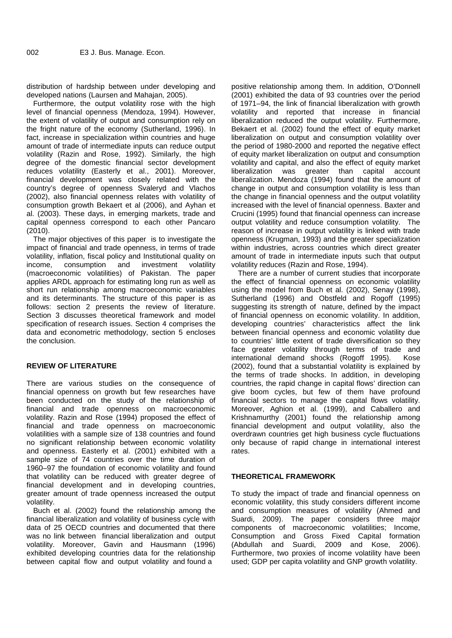distribution of hardship between under developing and developed nations (Laursen and Mahajan, 2005).

Furthermore, the output volatility rose with the high level of financial openness (Mendoza, 1994). However, the extent of volatility of output and consumption rely on the fright nature of the economy (Sutherland, 1996). In fact, increase in specialization within countries and huge amount of trade of intermediate inputs can reduce output volatility (Razin and Rose, 1992). Similarly, the high degree of the domestic financial sector development reduces volatility (Easterly et al., 2001). Moreover, liberalization financial development was closely related with the country's degree of openness Svaleryd and Vlachos (2002), also financial openness relates with volatility of consumption growth Bekaert et al (2006), and Ayhan et al. (2003). These days, in emerging markets, trade and capital openness correspond to each other Pancaro (2010).

The major objectives of this paper is to investigate the impact of financial and trade openness, in terms of trade volatility, inflation, fiscal policy and Institutional quality on income. consumption and investment volatility consumption and investment volatility (macroeconomic volatilities) of Pakistan. The paper applies ARDL approach for estimating long run as well as short run relationship among macroeconomic variables and its determinants. The structure of this paper is as follows: section 2 presents the review of literature. Section 3 discusses theoretical framework and model specification of research issues. Section 4 comprises the data and econometric methodology, section 5 encloses the conclusion.

# **REVIEW OF LITERATURE**

There are various studies on the consequence of financial openness on growth but few researches have been conducted on the study of the relationship of financial and trade openness on macroeconomic volatility. Razin and Rose (1994) proposed the effect of financial and trade openness on macroeconomic volatilities with a sample size of 138 countries and found no significant relationship between economic volatility and openness. Easterly et al. (2001) exhibited with a sample size of 74 countries over the time duration of 1960–97 the foundation of economic volatility and found that volatility can be reduced with greater degree of financial development and in developing countries, greater amount of trade openness increased the output volatility.

Buch et al. (2002) found the relationship among the financial liberalization and volatility of business cycle with data of 25 OECD countries and documented that there was no link between financial liberalization and output volatility. Moreover, Gavin and Hausmann (1996) exhibited developing countries data for the relationship between capital flow and output volatility and found a

positive relationship among them. In addition, O'Donnell (2001) exhibited the data of 93 countries over the period of 1971–94, the link of financial liberalization with growth volatility and reported that increase in financial liberalization reduced the output volatility. Furthermore, Bekaert et al. (2002) found the effect of equity market liberalization on output and consumption volatility over the period of 1980-2000 and reported the negative effect of equity market liberalization on output and consumption volatility and capital, and also the effect of equity market was greater than capital account liberalization. Mendoza (1994) found that the amount of change in output and consumption volatility is less than the change in financial openness and the output volatility increased with the level of financial openness. Baxter and Crucini (1995) found that financial openness can increase output volatility and reduce consumption volatility. The reason of increase in output volatility is linked with trade openness (Krugman, 1993) and the greater specialization within industries, across countries which direct greater amount of trade in intermediate inputs such that output volatility reduces (Razin and Rose, 1994).

There are a number of current studies that incorporate the effect of financial openness on economic volatility using the model from Buch et al. (2002), Senay (1998), Sutherland (1996) and Obstfeld and Rogoff (1995) suggesting its strength of nature, defined by the impact of financial openness on economic volatility. In addition, developing countries' characteristics affect the link between financial openness and economic volatility due to countries' little extent of trade diversification so they face greater volatility through terms of trade and international demand shocks (Rogoff 1995). Kose (2002), found that a substantial volatility is explained by the terms of trade shocks. In addition, in developing countries, the rapid change in capital flows' direction can give boom cycles, but few of them have profound financial sectors to manage the capital flows volatility. Moreover, Aghion et al. (1999), and Caballero and Krishnamurthy (2001) found the relationship among financial development and output volatility, also the overdrawn countries get high business cycle fluctuations only because of rapid change in international interest rates.

### **THEORETICAL FRAMEWORK**

To study the impact of trade and financial openness on economic volatility, this study considers different income and consumption measures of volatility (Ahmed and Suardi, 2009). The paper considers three major components of macroeconomic volatilities; Income, Consumption and Gross Fixed Capital formation (Abdullah and Suardi, 2009 and Kose, 2006). Furthermore, two proxies of income volatility have been used; GDP per capita volatility and GNP growth volatility.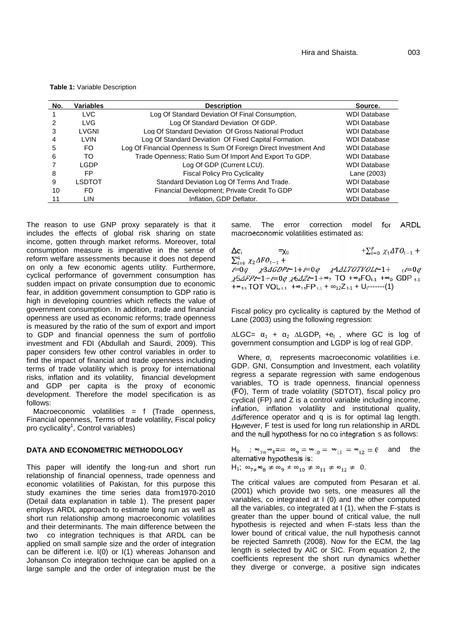**Table 1:** Variable Description

| No. | <b>Variables</b> | <b>Description</b>                                                | Source.             |
|-----|------------------|-------------------------------------------------------------------|---------------------|
|     | <b>LVC</b>       | Log Of Standard Deviation Of Final Consumption.                   | <b>WDI Database</b> |
|     | <b>LVG</b>       | Log Of Standard Deviation Of GDP.                                 | <b>WDI Database</b> |
| 3   | <b>LVGNI</b>     | Log Of Standard Deviation Of Gross National Product               | <b>WDI Database</b> |
| 4   | <b>LVIN</b>      | Log Of Standard Deviation Of Fixed Capital Formation.             | <b>WDI Database</b> |
| 5   | FO.              | Log Of Financial Openness Is Sum Of Foreign Direct Investment And | <b>WDI Database</b> |
| 6   | TO               | Trade Openness; Ratio Sum Of Import And Export To GDP.            | <b>WDI Database</b> |
|     | I GDP            | Log Of GDP (Current LCU).                                         | <b>WDI Database</b> |
| 8   | FP               | <b>Fiscal Policy Pro Cyclicality</b>                              | Lane (2003)         |
| 9   | LSDTOT           | Standard Deviation Log Of Terms And Trade.                        | <b>WDI Database</b> |
| 10  | FD               | Financial Development; Private Credit To GDP                      | <b>WDI Database</b> |
|     | LIN              | Inflation, GDP Deflator.                                          | <b>WDI Database</b> |

The reason to use GNP proxy separately is that it same. includes the effects of global risk sharing on state income, gotten through market reforms. Moreover, total consumption measure is imperative in the sense of  $\Delta\sigma_i$ reform welfare assessments because it does not depend on only a few economic agents utility. Furthermore, cyclical performance of government consumption has  $\chi^2/2F$ -1+i=0q  $\chi^2/2F+1+\alpha$ <sub>7</sub> TO + $\alpha_8$ FO<sub>t-1</sub> + $\alpha_9$  GDP  $_{11}$ sudden impact on private consumption due to economic fear, in addition government consumption to GDP ratio is high in developing countries which reflects the value of government consumption. In addition, trade and financial openness are used as economic reforms; trade openness is measured by the ratio of the sum of export and import to GDP and financial openness the sum of portfolio investment and FDI (Abdullah and Saurdi, 2009). This paper considers few other control variables in order to find the impact of financial and trade openness including terms of trade volatility which is proxy for international risks, inflation and its volatility, financial development and GDP per capita is the proxy of economic development. Therefore the model specification is as follows:

Macroeconomic volatilities = f (Trade openness, Financial openness, Terms of trade volatility, Fiscal policy pro cyclicality<sup>1</sup>, Control variables)

#### **DATA AND ECONOMETRIC METHODOLOGY**

This paper will identify the long-run and short run relationship of financial openness, trade openness and economic volatilities of Pakistan, for this purpose this study examines the time series data from1970-2010 (Detail data explanation in table 1). The present paper employs ARDL approach to estimate long run as well as short run relationship among macroeconomic volatilities and their determinants. The main difference between the two co integration techniques is that ARDL can be applied on small sample size and the order of integration can be different i.e. I(0) or I(1) whereas Johanson and Johanson Co integration technique can be applied on a large sample and the order of integration must be the

The error correction model for ARDL macroeconomic volatilities estimated as:

 $\sum_{i=0}^{p} \chi_1 4T O_{t-1} +$  $\sum_{i=0}^{q} \chi_2 \Delta FO_{t-1} +$  $i=0q$   $\chi$ 3 $\Delta$ GDPt-1+ $i=0q$   $\chi$ 4 $\Delta$ LTOTVOLt-1+  $_0i=0q$  $+\infty_{10}$  TOT VOL  $_{1.1}$  +  $\infty_{11}$ FP  $_{1.1}$  +  $\quad_{12}Z_{1.1}$  + U<sub>i</sub>-------(1)

Fiscal policy pro cyclicality is captured by the Method of Lane (2003) using the following regression:

 $\triangle LGC=$  1 + 2  $\triangle LGDP_t +e_t$ , where GC is log of government consumption and LGDP is log of real GDP.

Where, i represents macroeconomic volatilities i.e. GDP. GNI, Consumption and Investment, each volatility regress a separate regression with same endogenous variables, TO is trade openness, financial openness (FO), Term of trade volatility (SDTOT), fiscal policy pro cyclical (FP) and Z is a control variable including income, inflation, inflation volatility and institutional quality, Adifference operator and q is is for optimal lag length. However, F test is used for long run relationship in ARDL and the null hypothesis for no co integration is as follows:

 $H_0:$  ;  $w_{7} = w_8 = w_9 = w_{10} = w_{11} = w_{12} = 0$  and the alternative hypothesis is:  $H_1$ ;  $_{7\neq} \infty_8 \neq 9 \neq 10 \neq 11 \neq 12 \neq 0$ .

The critical values are computed from Pesaran et al. (2001) which provide two sets, one measures all the variables, co integrated at I (0) and the other computed all the variables, co integrated at I (1), when the F-stats is greater than the upper bound of critical value, the null hypothesis is rejected and when F-stats less than the lower bound of critical value, the null hypothesis cannot be rejected Samreth (2008). Now for the ECM, the lag length is selected by AIC or SIC. From equation 2, the coefficients represent the short run dynamics whether they diverge or converge, a positive sign indicates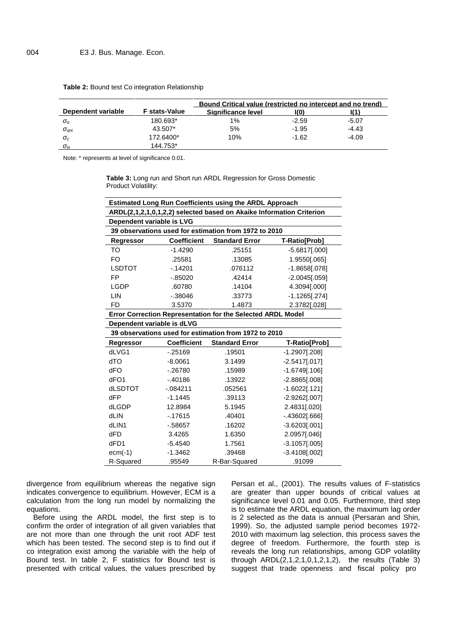|                    |                      | <b>Bound Critical value (restricted no intercept and no trend)</b> |         |         |
|--------------------|----------------------|--------------------------------------------------------------------|---------|---------|
| Dependent variable | <b>F</b> stats-Value | Significance level                                                 | KO)     |         |
| a                  | 180.693*             | $1\%$                                                              | $-2.59$ | $-5.07$ |
| ani                | 43.507*              | 5%                                                                 | $-1.95$ | $-4.43$ |
| с                  | 172.6400*            | 10%                                                                | $-1.62$ | $-4.09$ |
| in                 | 144.753*             |                                                                    |         |         |

**Table 2:** Bound test Co integration Relationship

Note: \* represents at level of significance 0.01.

**Table 3:** Long run and Short run ARDL Regression for Gross Domestic Product Volatility:

| <b>Estimated Long Run Coefficients using the ARDL Approach</b>       |                    |                                                       |                  |  |  |
|----------------------------------------------------------------------|--------------------|-------------------------------------------------------|------------------|--|--|
| ARDL(2,1,2,1,0,1,2,2) selected based on Akaike Information Criterion |                    |                                                       |                  |  |  |
| Dependent variable is LVG                                            |                    |                                                       |                  |  |  |
| 39 observations used for estimation from 1972 to 2010                |                    |                                                       |                  |  |  |
| Regressor                                                            | <b>Coefficient</b> | <b>Standard Error</b>                                 | T-Ratio[Prob]    |  |  |
| TO                                                                   | $-1.4290$          | .25151                                                | $-5.6817[.000]$  |  |  |
| FO                                                                   | .25581             | .13085                                                | 1.9550[.065]     |  |  |
| <b>LSDTOT</b>                                                        | $-14201$           | .076112                                               | $-1.8658[.078]$  |  |  |
| FP.                                                                  | $-0.85020$         | .42414                                                | $-2.0045[.059]$  |  |  |
| LGDP                                                                 | .60780             | .14104                                                | 4.3094[.000]     |  |  |
| LIN                                                                  | $-0.38046$         | .33773                                                | $-1.1265$ [.274] |  |  |
| <b>FD</b>                                                            | 3.5370             | 1.4873                                                | 2.3782[.028]     |  |  |
| <b>Error Correction Representation for the Selected ARDL Model</b>   |                    |                                                       |                  |  |  |
| Dependent variable is dLVG                                           |                    |                                                       |                  |  |  |
|                                                                      |                    | 39 observations used for estimation from 1972 to 2010 |                  |  |  |
| Regressor                                                            | <b>Coefficient</b> | <b>Standard Error</b>                                 | T-Ratio[Prob]    |  |  |
| dLVG1                                                                | $-0.25169$         | .19501                                                | $-1.2907$ [.208] |  |  |
| <b>OTb</b>                                                           | $-8.0061$          | 3.1499                                                | $-2.5417[.017]$  |  |  |
| <b>dFO</b>                                                           | $-0.26780$         | .15989                                                | $-1.6749[.106]$  |  |  |
| dFO <sub>1</sub>                                                     | $-40186$           | .13922                                                | $-2.8865[.008]$  |  |  |
| dLSDTOT                                                              | $-084211$          | .052561                                               | $-1.6022$ [.121] |  |  |
| dFP                                                                  | $-1.1445$          | .39113                                                | $-2.9262[.007]$  |  |  |
| <b>dLGDP</b>                                                         | 12.8984            | 5.1945                                                | 2.4831[.020]     |  |  |
| dLIN                                                                 | $-17615$           | .40401                                                | $-.43602[.666]$  |  |  |
| dLIN1                                                                | $-58657$           | .16202                                                | $-3.6203[.001]$  |  |  |
| dFD                                                                  | 3.4265             | 1.6350                                                | 2.0957[.046]     |  |  |
| dFD1                                                                 | $-5.4540$          | 1.7561                                                | $-3.1057[.005]$  |  |  |
| $ecm(-1)$                                                            | $-1.3462$          | .39468                                                | $-3.4108[.002]$  |  |  |
| R-Squared                                                            | .95549             | R-Bar-Squared                                         | .91099           |  |  |

divergence from equilibrium whereas the negative sign indicates convergence to equilibrium. However, ECM is a calculation from the long run model by normalizing the equations.

Before using the ARDL model, the first step is to confirm the order of integration of all given variables that are not more than one through the unit root ADF test which has been tested. The second step is to find out if co integration exist among the variable with the help of Bound test. In table 2, F statistics for Bound test is presented with critical values, the values prescribed by

Persan et al., (2001). The results values of F-statistics are greater than upper bounds of critical values at significance level 0.01 and 0.05. Furthermore, third step is to estimate the ARDL equation, the maximum lag order is 2 selected as the data is annual (Persaran and Shin, 1999). So, the adjusted sample period becomes 1972- 2010 with maximum lag selection, this process saves the degree of freedom. Furthermore, the fourth step is reveals the long run relationships, among GDP volatility through  $ARDL(2,1,2,1,0,1,2,1,2)$ , the results (Table 3) suggest that trade openness and fiscal policy pro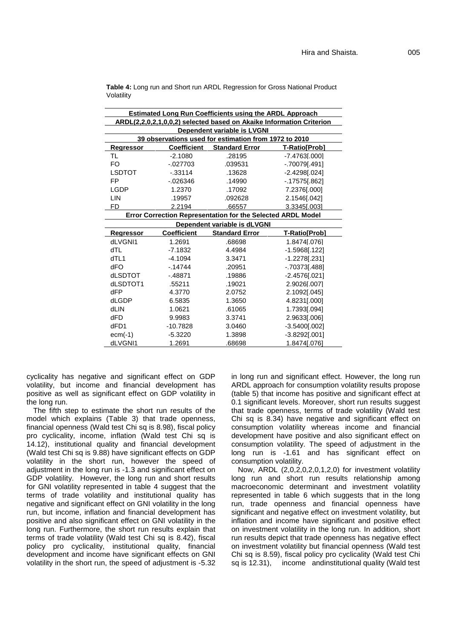|                                                             |                    | <b>Estimated Long Run Coefficients using the ARDL Approach</b> |                                                                      |  |  |
|-------------------------------------------------------------|--------------------|----------------------------------------------------------------|----------------------------------------------------------------------|--|--|
|                                                             |                    |                                                                | ARDL(2,2,0,2,1,0,0,2) selected based on Akaike Information Criterion |  |  |
|                                                             |                    | Dependent variable is LVGNI                                    |                                                                      |  |  |
|                                                             |                    | 39 observations used for estimation from 1972 to 2010          |                                                                      |  |  |
| Regressor                                                   | <b>Coefficient</b> | <b>Standard Error</b>                                          | T-Ratio[Prob]                                                        |  |  |
| TL                                                          | $-2.1080$          | .28195                                                         | $-7.4763[.000]$                                                      |  |  |
| FO                                                          | $-027703$          | .039531                                                        | $-0.70079$ [.491]                                                    |  |  |
| <b>LSDTOT</b>                                               | $-0.33114$         | .13628                                                         | $-2.4298[.024]$                                                      |  |  |
| <b>FP</b>                                                   | $-0.026346$        | .14990                                                         | $-17575$ [.862]                                                      |  |  |
| <b>LGDP</b>                                                 | 1.2370             | .17092                                                         | 7.2376[.000]                                                         |  |  |
| LIN                                                         | .19957             | .092628                                                        | 2.1546[.042]                                                         |  |  |
| FD                                                          | 2.2194             | .66557                                                         | 3.3345[.003]                                                         |  |  |
| Error Correction Representation for the Selected ARDL Model |                    |                                                                |                                                                      |  |  |
| Dependent variable is dLVGNI                                |                    |                                                                |                                                                      |  |  |
| Regressor                                                   | <b>Coefficient</b> | <b>Standard Error</b>                                          | T-Ratio[Prob]                                                        |  |  |
| dLVGNI1                                                     | 1.2691             | .68698                                                         | 1.8474[.076]                                                         |  |  |
| dTL                                                         | $-7.1832$          | 4.4984                                                         | $-1.5968$ [.122]                                                     |  |  |
| dTL1                                                        | $-4.1094$          | 3.3471                                                         | $-1.2278$ [.231]                                                     |  |  |
| dFO                                                         | $-14744$           | .20951                                                         | $-0.70373$ [.488]                                                    |  |  |
| dLSDTOT                                                     | $-48871$           | .19886                                                         | $-2.4576[.021]$                                                      |  |  |
| dLSDTOT1                                                    | .55211             | .19021                                                         | 2.9026[.007]                                                         |  |  |
| dFP                                                         | 4.3770             | 2.0752                                                         | 2.1092[.045]                                                         |  |  |
| dLGDP                                                       | 6.5835             | 1.3650                                                         | 4.8231[.000]                                                         |  |  |
| dLIN                                                        | 1.0621             | .61065                                                         | 1.7393[.094]                                                         |  |  |
| dFD                                                         | 9.9983             | 3.3741                                                         | 2.9633[.006]                                                         |  |  |
| dFD1                                                        | $-10.7828$         | 3.0460                                                         | $-3.5400[.002]$                                                      |  |  |
| $ecm(-1)$                                                   | $-5.3220$          | 1.3898                                                         | $-3.8292[.001]$                                                      |  |  |
| dLVGNI1                                                     | 1.2691             | .68698                                                         | 1.8474[.076]                                                         |  |  |

**Table 4:** Long run and Short run ARDL Regression for Gross National Product Volatility

cyclicality has negative and significant effect on GDP volatility, but income and financial development has positive as well as significant effect on GDP volatility in the long run.

The fifth step to estimate the short run results of the model which explains (Table 3) that trade openness, financial openness (Wald test Chi sq is 8.98), fiscal policy pro cyclicality, income, inflation (Wald test Chi sq is 14.12), institutional quality and financial development (Wald test Chi sq is 9.88) have significant effects on GDP volatility in the short run, however the speed of adjustment in the long run is -1.3 and significant effect on GDP volatility. However, the long run and short results for GNI volatility represented in table 4 suggest that the terms of trade volatility and institutional quality has negative and significant effect on GNI volatility in the long run, but income, inflation and financial development has positive and also significant effect on GNI volatility in the long run. Furthermore, the short run results explain that terms of trade volatility (Wald test Chi sq is 8.42), fiscal policy pro cyclicality, institutional quality, financial development and income have significant effects on GNI volatility in the short run, the speed of adjustment is -5.32 in long run and significant effect. However, the long run ARDL approach for consumption volatility results propose (table 5) that income has positive and significant effect at 0.1 significant levels. Moreover, short run results suggest that trade openness, terms of trade volatility (Wald test Chi sq is 8.34) have negative and significant effect on consumption volatility whereas income and financial development have positive and also significant effect on consumption volatility. The speed of adjustment in the long run is -1.61 and has significant effect on consumption volatility.

Now, ARDL (2,0,2,0,2,0,1,2,0) for investment volatility long run and short run results relationship among macroeconomic determinant and investment volatility represented in table 6 which suggests that in the long run, trade openness and financial openness have significant and negative effect on investment volatility, but inflation and income have significant and positive effect on investment volatility in the long run. In addition, short run results depict that trade openness has negative effect on investment volatility but financial openness (Wald test Chi sq is 8.59), fiscal policy pro cyclicality (Wald test Chi sq is 12.31), income andinstitutional quality (Wald test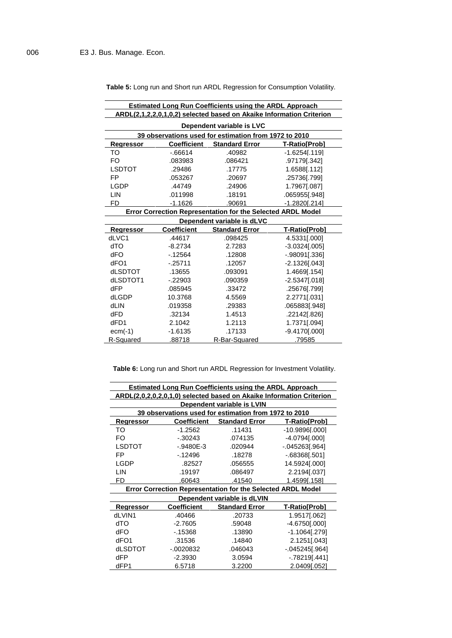**Table 5:** Long run and Short run ARDL Regression for Consumption Volatility.

| <b>Estimated Long Run Coefficients using the ARDL Approach</b>       |                    |                                                       |                   |  |  |
|----------------------------------------------------------------------|--------------------|-------------------------------------------------------|-------------------|--|--|
| ARDL(2,1,2,2,0,1,0,2) selected based on Akaike Information Criterion |                    |                                                       |                   |  |  |
| Dependent variable is LVC                                            |                    |                                                       |                   |  |  |
|                                                                      |                    | 39 observations used for estimation from 1972 to 2010 |                   |  |  |
| <b>Regressor</b>                                                     | <b>Coefficient</b> | <b>Standard Error</b>                                 | T-Ratio[Prob]     |  |  |
| TO                                                                   | $-0.66614$         | .40982                                                | $-1.6254$ [.119]  |  |  |
| FO.                                                                  | .083983            | .086421                                               | .97179[.342]      |  |  |
| <b>LSDTOT</b>                                                        | .29486             | .17775                                                | 1.6588[.112]      |  |  |
| <b>FP</b>                                                            | .053267            | .20697                                                | .25736[.799]      |  |  |
| <b>LGDP</b>                                                          | .44749             | .24906                                                | 1.7967[.087]      |  |  |
| LIN                                                                  | .011998            | .18191                                                | .065955[.948]     |  |  |
| FD                                                                   | $-1.1626$          | .90691                                                | $-1.2820$ [.214]  |  |  |
| Error Correction Representation for the Selected ARDL Model          |                    |                                                       |                   |  |  |
|                                                                      |                    | Dependent variable is dLVC                            |                   |  |  |
| <b>Regressor</b>                                                     | <b>Coefficient</b> | <b>Standard Error</b>                                 | T-Ratio[Prob]     |  |  |
| dLVC1                                                                | .44617             | .098425                                               | 4.5331[.000]      |  |  |
| <b>dTO</b>                                                           | $-8.2734$          | 2.7283                                                | $-3.0324[.005]$   |  |  |
| dFO                                                                  | $-12564$           | .12808                                                | $-0.98091$ [.336] |  |  |
| dFO <sub>1</sub>                                                     | $-0.25711$         | .12057                                                | $-2.13261.0431$   |  |  |
| dLSDTOT                                                              | .13655             | .093091                                               | 1.4669 [.154]     |  |  |
| dLSDTOT1                                                             | $-22903$           | .090359                                               | $-2.5347$ [.018]  |  |  |
| dFP                                                                  | .085945            | .33472                                                | .25676[.799]      |  |  |
| dLGDP                                                                | 10.3768            | 4.5569                                                | 2.2771[.031]      |  |  |
| dLIN                                                                 | .019358            | .29383                                                | .065883[.948]     |  |  |
| dFD                                                                  | .32134             | 1.4513                                                | .22142[.826]      |  |  |
| dFD1                                                                 | 2.1042             | 1.2113                                                | 1.7371[.094]      |  |  |
| $ecm(-1)$                                                            | $-1.6135$          | .17133                                                | $-9.4170[.000]$   |  |  |
| R-Squared                                                            | .88718             | R-Bar-Squared                                         | .79585            |  |  |

**Table 6:** Long run and Short run ARDL Regression for Investment Volatility.

|             |                    | <b>Estimated Long Run Coefficients using the ARDL Approach</b>     |                                                                      |
|-------------|--------------------|--------------------------------------------------------------------|----------------------------------------------------------------------|
|             |                    |                                                                    | ARDL(2,0,2,0,2,0,1,0) selected based on Akaike Information Criterion |
|             |                    | Dependent variable is LVIN                                         |                                                                      |
|             |                    | 39 observations used for estimation from 1972 to 2010              |                                                                      |
| Regressor   | <b>Coefficient</b> | <b>Standard Error</b>                                              | T-Ratio[Prob]                                                        |
| TO          | $-1.2562$          | .11431                                                             | $-10.9896$ [.000]                                                    |
| FO          | $-0.30243$         | .074135                                                            | $-4.0794$ [.000]                                                     |
| LSDTOT      | $-0.9480E-3$       | .020944                                                            | $-045263[.964]$                                                      |
| FP          | $-12496$           | .18278                                                             | $-68368$ [.501]                                                      |
| <b>LGDP</b> | .82527             | .056555                                                            | 14.5924[.000]                                                        |
| LIN         | .19197             | .086497                                                            | 2.2194[.037]                                                         |
| FD          | .60643             | .41540                                                             | 1.4599[.158]                                                         |
|             |                    | <b>Error Correction Representation for the Selected ARDL Model</b> |                                                                      |
|             |                    | Dependent variable is dLVIN                                        |                                                                      |
| Regressor   | <b>Coefficient</b> | <b>Standard Error</b>                                              | T-Ratio[Prob]                                                        |
| dLVIN1      | .40466             | .20733                                                             | 1.9517[.062]                                                         |
| dTO         | $-2.7605$          | .59048                                                             | $-4.6750$ [.000]                                                     |
| dFO         | $-15368$           | .13890                                                             | $-1.1064[.279]$                                                      |
| dFO1        | .31536             | .14840                                                             | 2.1251[.043]                                                         |
| dLSDTOT     | $-0020832$         | .046043                                                            | $-045245$ [.964]                                                     |
| dFP         | $-2.3930$          | 3.0594                                                             | $-.78219I.441]$                                                      |
| dFP1        | 6.5718             | 3.2200                                                             | 2.0409[.052]                                                         |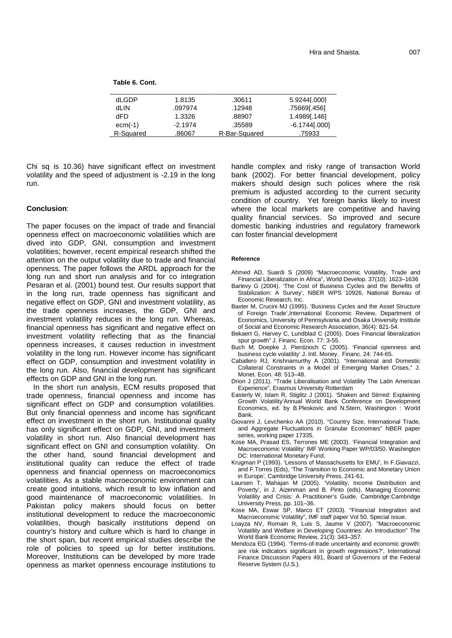| dLGDP     | 1.8135    | .30611        | 5.9244[.000]    |
|-----------|-----------|---------------|-----------------|
| dLIN      | .097974   | .12948        | .75669[.456]    |
| dFD       | 1.3326    | .88907        | 1.4989[.146]    |
| $ecm(-1)$ | $-2.1974$ | .35589        | $-6.1744[0.00]$ |
| R-Squared | .86067    | R-Bar-Squared | .75933          |

Chi sq is 10.36) have significant effect on investment volatility and the speed of adjustment is -2.19 in the long run.

#### **Conclusion**:

The paper focuses on the impact of trade and financial openness effect on macroeconomic volatilities which are dived into GDP, GNI, consumption and investment volatilities; however, recent empirical research shifted the attention on the output volatility due to trade and financial openness. The paper follows the ARDL approach for the long run and short run analysis and for co integration Pesaran et al. (2001) bound test. Our results support that in the long run, trade openness has significant and negative effect on GDP, GNI and investment volatility, as the trade openness increases, the GDP, GNI and investment volatility reduces in the long run. Whereas, financial openness has significant and negative effect on investment volatility reflecting that as the financial openness increases, it causes reduction in investment volatility in the long run. However income has significant effect on GDP, consumption and investment volatility in the long run. Also, financial development has significant effects on GDP and GNI in the long run.

In the short run analysis, ECM results proposed that trade openness, financial openness and income has significant effect on GDP and consumption volatilities. But only financial openness and income has significant effect on investment in the short run. Institutional quality has only significant effect on GDP, GNI, and investment volatility in short run. Also financial development has significant effect on GNI and consumption volatility. On the other hand, sound financial development and institutional quality can reduce the effect of trade openness and financial openness on macroeconomics volatilities. As a stable macroeconomic environment can create good intuitions, which result to low inflation and good maintenance of macroeconomic volatilities. In Pakistan policy makers should focus on better institutional development to reduce the macroeconomic volatilities, though basically institutions depend on country's history and culture which is hard to change in the short span, but recent empirical studies describe the role of policies to speed up for better institutions. Moreover, Institutions can be developed by more trade openness as market openness encourage institutions to handle complex and risky range of transaction World bank (2002). For better financial development, policy makers should design such polices where the risk premium is adjusted according to the current security condition of country. Yet foreign banks likely to invest where the local markets are competitive and having quality financial services. So improved and secure domestic banking industries and regulatory framework can foster financial development

#### **Reference**

- Ahmed AD, Suardi S (2009) "Macroeconomic Volatility, Trade and Financial Liberalization in Africa", World Develop. 37(10): 1623–1636
- Barlevy G (2004). 'The Cost of Business Cycles and the Benefits of Stabilization: A Survey', NBER WPS 10926, National Bureau of Economic Research, Inc.
- Baxter M, Crucini MJ (1995). 'Business Cycles and the Asset Structure of Foreign Trade',International Economic Review, Department of Economics, University of Pennsylvania and Osaka University Institute of Social and Economic Research Association, 36(4): 821-54.
- Bekaert G, Harvey C, Lundblad C (2005). Does Financial liberalization spur growth" J. Financ. Econ. 77: 3-55.
- Buch M, Doepke J, Pierdzioch C (2005). 'Financial openness and business cycle volatility' J. Intl. Money. Financ. 24: 744-65.
- Caballero RJ, Krishnamurthy A (2001). "International and Domestic Collateral Constraints in a Model of Emerging Market Crises," J. Monet. Econ. 48: 513–48.
- Drion J (2011). "Trade Liberalisation and Volatility The Latin American Experience", Erasmus University Rotterdam
- Easterly W, Islam R, Stiglitz J (2001). 'Shaken and Stirred: Explaining Growth Volatility'Annual World Bank Conference on Development Economics, ed. by B.Pleskovic and N.Stern, Washington : World **Bank**
- Giovanni J, Levchenko AA (2010). "Country Size, International Trade, and Aggregate Fluctuations in Granular Economies" NBER paper series, working paper 17335.
- Kose MA, Prasad ES, Terrones ME (2003). 'Financial Integration and Macroeconomic Volatility' IMF Working Paper WP/03/50. Washington DC: International Monetary Fund.
- Krugman P (1993). 'Lessons of Massachusetts for EMU', In F.Giavazzi, and F.Torres (Eds), 'The Transition to Economic and Monetary Union in Europe', Cambridge University Press, 241-61.
- Laursen T, Mahajan M (2005). 'Volatility, Income Distribution and Poverty', in J. Aizenman and B. Pinto (eds), Managing Economic Volatility and Crisis: A Practitioner's Guide, Cambridge:Cambridge University Press, pp. 101–36.
- Kose MA, Eswar SP, Marco ET (2003). "Financial Integration and Macroeconomic Volatility", IMF staff paper Vol 50. Special issue.
- Loayza NV, Romain R, Luis S, Jaume V (2007). "Macroeconomic Volatility and Welfare in Developing Countries: An Introduction" The World Bank Economic Review, 21(3): 343–357.
- Mendoza EG (1994). 'Terms-of-trade uncertainty and economic growth: are risk indicators significant in growth regressions?', International Finance Discussion Papers 491, Board of Governors of the Federal Reserve System (U.S.).